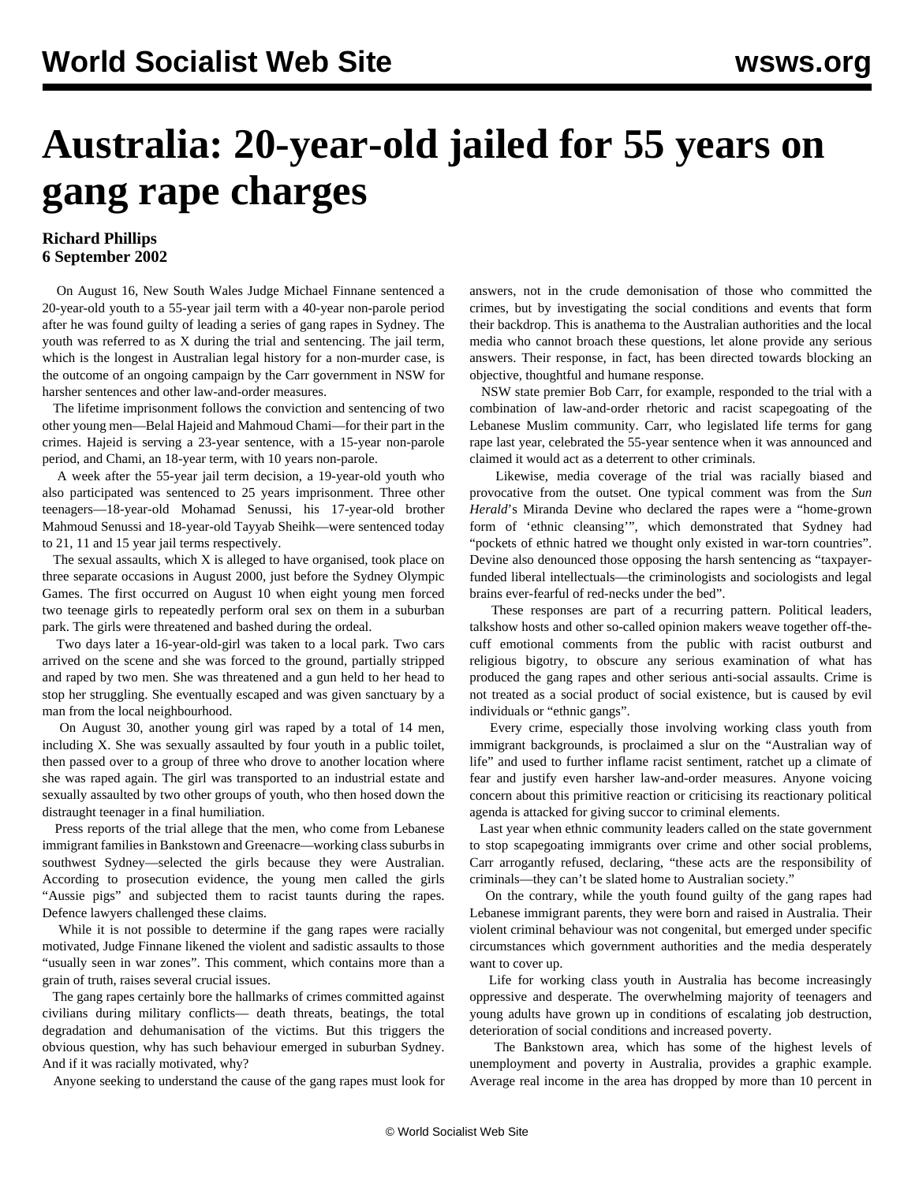## **Australia: 20-year-old jailed for 55 years on gang rape charges**

## **Richard Phillips 6 September 2002**

 On August 16, New South Wales Judge Michael Finnane sentenced a 20-year-old youth to a 55-year jail term with a 40-year non-parole period after he was found guilty of leading a series of gang rapes in Sydney. The youth was referred to as X during the trial and sentencing. The jail term, which is the longest in Australian legal history for a non-murder case, is the outcome of an ongoing campaign by the Carr government in NSW for harsher sentences and other law-and-order measures.

 The lifetime imprisonment follows the conviction and sentencing of two other young men—Belal Hajeid and Mahmoud Chami—for their part in the crimes. Hajeid is serving a 23-year sentence, with a 15-year non-parole period, and Chami, an 18-year term, with 10 years non-parole.

 A week after the 55-year jail term decision, a 19-year-old youth who also participated was sentenced to 25 years imprisonment. Three other teenagers—18-year-old Mohamad Senussi, his 17-year-old brother Mahmoud Senussi and 18-year-old Tayyab Sheihk—were sentenced today to 21, 11 and 15 year jail terms respectively.

 The sexual assaults, which X is alleged to have organised, took place on three separate occasions in August 2000, just before the Sydney Olympic Games. The first occurred on August 10 when eight young men forced two teenage girls to repeatedly perform oral sex on them in a suburban park. The girls were threatened and bashed during the ordeal.

 Two days later a 16-year-old-girl was taken to a local park. Two cars arrived on the scene and she was forced to the ground, partially stripped and raped by two men. She was threatened and a gun held to her head to stop her struggling. She eventually escaped and was given sanctuary by a man from the local neighbourhood.

 On August 30, another young girl was raped by a total of 14 men, including X. She was sexually assaulted by four youth in a public toilet, then passed over to a group of three who drove to another location where she was raped again. The girl was transported to an industrial estate and sexually assaulted by two other groups of youth, who then hosed down the distraught teenager in a final humiliation.

 Press reports of the trial allege that the men, who come from Lebanese immigrant families in Bankstown and Greenacre—working class suburbs in southwest Sydney—selected the girls because they were Australian. According to prosecution evidence, the young men called the girls "Aussie pigs" and subjected them to racist taunts during the rapes. Defence lawyers challenged these claims.

 While it is not possible to determine if the gang rapes were racially motivated, Judge Finnane likened the violent and sadistic assaults to those "usually seen in war zones". This comment, which contains more than a grain of truth, raises several crucial issues.

 The gang rapes certainly bore the hallmarks of crimes committed against civilians during military conflicts— death threats, beatings, the total degradation and dehumanisation of the victims. But this triggers the obvious question, why has such behaviour emerged in suburban Sydney. And if it was racially motivated, why?

Anyone seeking to understand the cause of the gang rapes must look for

answers, not in the crude demonisation of those who committed the crimes, but by investigating the social conditions and events that form their backdrop. This is anathema to the Australian authorities and the local media who cannot broach these questions, let alone provide any serious answers. Their response, in fact, has been directed towards blocking an objective, thoughtful and humane response.

 NSW state premier Bob Carr, for example, responded to the trial with a combination of law-and-order rhetoric and racist scapegoating of the Lebanese Muslim community. Carr, who legislated life terms for gang rape last year, celebrated the 55-year sentence when it was announced and claimed it would act as a deterrent to other criminals.

 Likewise, media coverage of the trial was racially biased and provocative from the outset. One typical comment was from the *Sun Herald*'s Miranda Devine who declared the rapes were a "home-grown form of 'ethnic cleansing'", which demonstrated that Sydney had "pockets of ethnic hatred we thought only existed in war-torn countries". Devine also denounced those opposing the harsh sentencing as "taxpayerfunded liberal intellectuals—the criminologists and sociologists and legal brains ever-fearful of red-necks under the bed".

 These responses are part of a recurring pattern. Political leaders, talkshow hosts and other so-called opinion makers weave together off-thecuff emotional comments from the public with racist outburst and religious bigotry, to obscure any serious examination of what has produced the gang rapes and other serious anti-social assaults. Crime is not treated as a social product of social existence, but is caused by evil individuals or "ethnic gangs".

 Every crime, especially those involving working class youth from immigrant backgrounds, is proclaimed a slur on the "Australian way of life" and used to further inflame racist sentiment, ratchet up a climate of fear and justify even harsher law-and-order measures. Anyone voicing concern about this primitive reaction or criticising its reactionary political agenda is attacked for giving succor to criminal elements.

 Last year when ethnic community leaders called on the state government to stop scapegoating immigrants over crime and other social problems, Carr arrogantly refused, declaring, "these acts are the responsibility of criminals—they can't be slated home to Australian society."

 On the contrary, while the youth found guilty of the gang rapes had Lebanese immigrant parents, they were born and raised in Australia. Their violent criminal behaviour was not congenital, but emerged under specific circumstances which government authorities and the media desperately want to cover up.

 Life for working class youth in Australia has become increasingly oppressive and desperate. The overwhelming majority of teenagers and young adults have grown up in conditions of escalating job destruction, deterioration of social conditions and increased poverty.

 The Bankstown area, which has some of the highest levels of unemployment and poverty in Australia, provides a graphic example. Average real income in the area has dropped by more than 10 percent in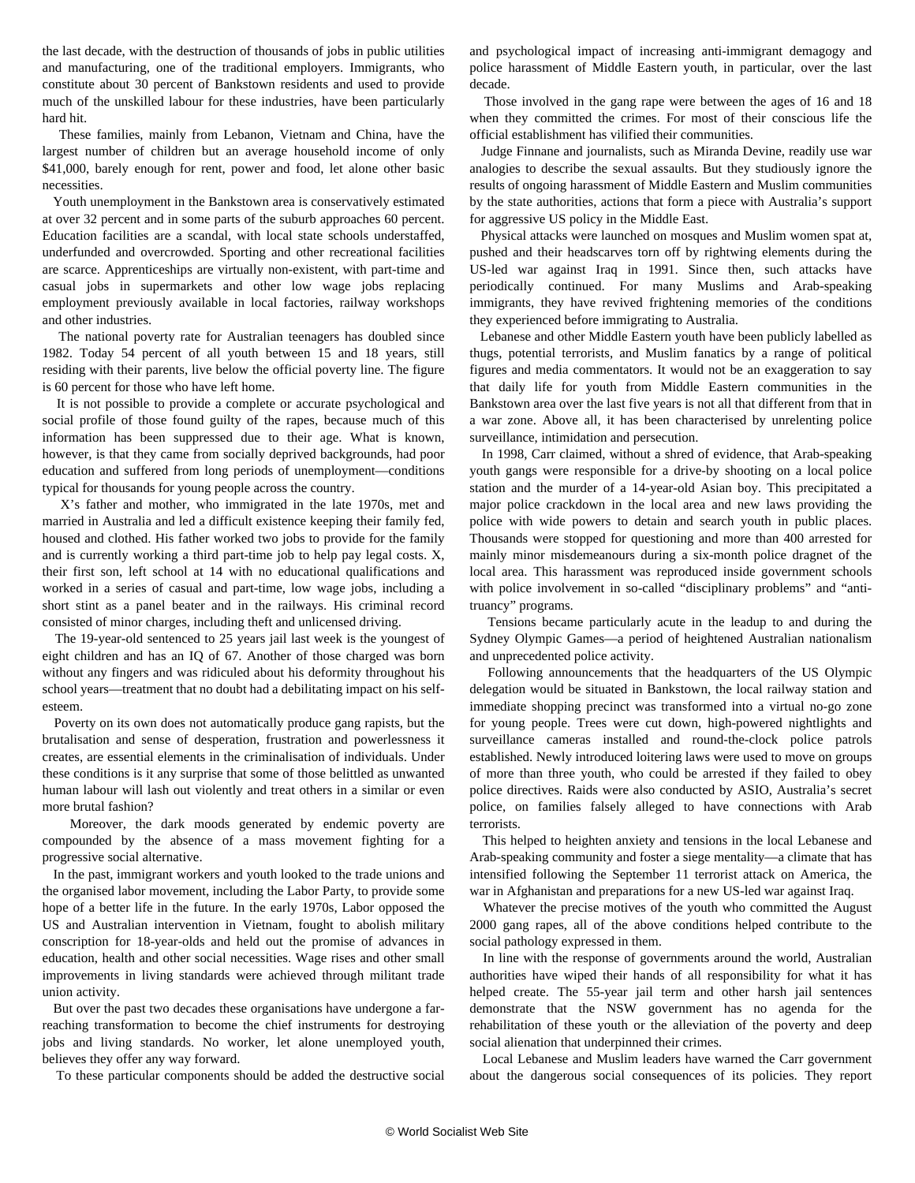the last decade, with the destruction of thousands of jobs in public utilities and manufacturing, one of the traditional employers. Immigrants, who constitute about 30 percent of Bankstown residents and used to provide much of the unskilled labour for these industries, have been particularly hard hit.

 These families, mainly from Lebanon, Vietnam and China, have the largest number of children but an average household income of only \$41,000, barely enough for rent, power and food, let alone other basic necessities.

 Youth unemployment in the Bankstown area is conservatively estimated at over 32 percent and in some parts of the suburb approaches 60 percent. Education facilities are a scandal, with local state schools understaffed, underfunded and overcrowded. Sporting and other recreational facilities are scarce. Apprenticeships are virtually non-existent, with part-time and casual jobs in supermarkets and other low wage jobs replacing employment previously available in local factories, railway workshops and other industries.

 The national poverty rate for Australian teenagers has doubled since 1982. Today 54 percent of all youth between 15 and 18 years, still residing with their parents, live below the official poverty line. The figure is 60 percent for those who have left home.

 It is not possible to provide a complete or accurate psychological and social profile of those found guilty of the rapes, because much of this information has been suppressed due to their age. What is known, however, is that they came from socially deprived backgrounds, had poor education and suffered from long periods of unemployment—conditions typical for thousands for young people across the country.

 X's father and mother, who immigrated in the late 1970s, met and married in Australia and led a difficult existence keeping their family fed, housed and clothed. His father worked two jobs to provide for the family and is currently working a third part-time job to help pay legal costs. X, their first son, left school at 14 with no educational qualifications and worked in a series of casual and part-time, low wage jobs, including a short stint as a panel beater and in the railways. His criminal record consisted of minor charges, including theft and unlicensed driving.

 The 19-year-old sentenced to 25 years jail last week is the youngest of eight children and has an IQ of 67. Another of those charged was born without any fingers and was ridiculed about his deformity throughout his school years—treatment that no doubt had a debilitating impact on his selfesteem.

 Poverty on its own does not automatically produce gang rapists, but the brutalisation and sense of desperation, frustration and powerlessness it creates, are essential elements in the criminalisation of individuals. Under these conditions is it any surprise that some of those belittled as unwanted human labour will lash out violently and treat others in a similar or even more brutal fashion?

 Moreover, the dark moods generated by endemic poverty are compounded by the absence of a mass movement fighting for a progressive social alternative.

 In the past, immigrant workers and youth looked to the trade unions and the organised labor movement, including the Labor Party, to provide some hope of a better life in the future. In the early 1970s, Labor opposed the US and Australian intervention in Vietnam, fought to abolish military conscription for 18-year-olds and held out the promise of advances in education, health and other social necessities. Wage rises and other small improvements in living standards were achieved through militant trade union activity.

 But over the past two decades these organisations have undergone a farreaching transformation to become the chief instruments for destroying jobs and living standards. No worker, let alone unemployed youth, believes they offer any way forward.

To these particular components should be added the destructive social

and psychological impact of increasing anti-immigrant demagogy and police harassment of Middle Eastern youth, in particular, over the last decade.

 Those involved in the gang rape were between the ages of 16 and 18 when they committed the crimes. For most of their conscious life the official establishment has vilified their communities.

 Judge Finnane and journalists, such as Miranda Devine, readily use war analogies to describe the sexual assaults. But they studiously ignore the results of ongoing harassment of Middle Eastern and Muslim communities by the state authorities, actions that form a piece with Australia's support for aggressive US policy in the Middle East.

 Physical attacks were launched on mosques and Muslim women spat at, pushed and their headscarves torn off by rightwing elements during the US-led war against Iraq in 1991. Since then, such attacks have periodically continued. For many Muslims and Arab-speaking immigrants, they have revived frightening memories of the conditions they experienced before immigrating to Australia.

 Lebanese and other Middle Eastern youth have been publicly labelled as thugs, potential terrorists, and Muslim fanatics by a range of political figures and media commentators. It would not be an exaggeration to say that daily life for youth from Middle Eastern communities in the Bankstown area over the last five years is not all that different from that in a war zone. Above all, it has been characterised by unrelenting police surveillance, intimidation and persecution.

 In 1998, Carr claimed, without a shred of evidence, that Arab-speaking youth gangs were responsible for a drive-by shooting on a local police station and the murder of a 14-year-old Asian boy. This precipitated a major police crackdown in the local area and new laws providing the police with wide powers to detain and search youth in public places. Thousands were stopped for questioning and more than 400 arrested for mainly minor misdemeanours during a six-month police dragnet of the local area. This harassment was reproduced inside government schools with police involvement in so-called "disciplinary problems" and "antitruancy" programs.

 Tensions became particularly acute in the leadup to and during the Sydney Olympic Games—a period of heightened Australian nationalism and unprecedented police activity.

 Following announcements that the headquarters of the US Olympic delegation would be situated in Bankstown, the local railway station and immediate shopping precinct was transformed into a virtual no-go zone for young people. Trees were cut down, high-powered nightlights and surveillance cameras installed and round-the-clock police patrols established. Newly introduced loitering laws were used to move on groups of more than three youth, who could be arrested if they failed to obey police directives. Raids were also conducted by ASIO, Australia's secret police, on families falsely alleged to have connections with Arab terrorists.

 This helped to heighten anxiety and tensions in the local Lebanese and Arab-speaking community and foster a siege mentality—a climate that has intensified following the September 11 terrorist attack on America, the war in Afghanistan and preparations for a new US-led war against Iraq.

 Whatever the precise motives of the youth who committed the August 2000 gang rapes, all of the above conditions helped contribute to the social pathology expressed in them.

 In line with the response of governments around the world, Australian authorities have wiped their hands of all responsibility for what it has helped create. The 55-year jail term and other harsh jail sentences demonstrate that the NSW government has no agenda for the rehabilitation of these youth or the alleviation of the poverty and deep social alienation that underpinned their crimes.

 Local Lebanese and Muslim leaders have warned the Carr government about the dangerous social consequences of its policies. They report